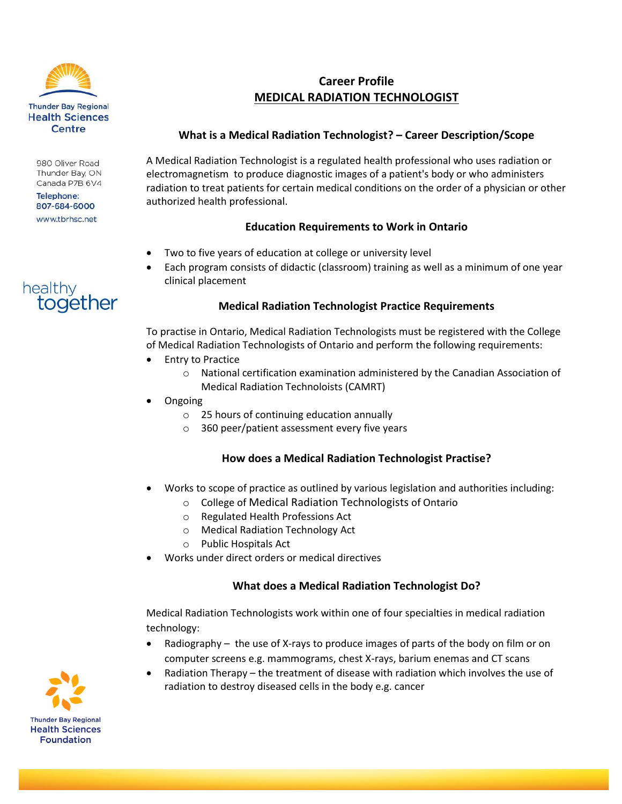

980 Oliver Road Thunder Bay, ON Canada P7B 6V4

**Telephone:** 807-684-6000 www.tbrhsc.net



# **Career Profile MEDICAL RADIATION TECHNOLOGIST**

#### **What is a Medical Radiation Technologist? – Career Description/Scope**

A Medical Radiation Technologist is a regulated health professional who uses radiation or electromagnetism to produce diagnostic images of a patient's body or who administers radiation to treat patients for certain medical conditions on the order of a physician or other authorized health professional.

# **Education Requirements to Work in Ontario**

- Two to five years of education at college or university level
- Each program consists of didactic (classroom) training as well as a minimum of one year clinical placement

## **Medical Radiation Technologist Practice Requirements**

To practise in Ontario, Medical Radiation Technologists must be registered with the College of Medical Radiation Technologists of Ontario and perform the following requirements:

- Entry to Practice
	- o National certification examination administered by the Canadian Association of Medical Radiation Technoloists (CAMRT)
- **Ongoing** 
	- o 25 hours of continuing education annually
	- o 360 peer/patient assessment every five years

# **How does a Medical Radiation Technologist Practise?**

- Works to scope of practice as outlined by various legislation and authorities including:
	- o College of Medical Radiation Technologists of Ontario
	- o Regulated Health Professions Act
	- o Medical Radiation Technology Act
	- o Public Hospitals Act
- Works under direct orders or medical directives

#### **What does a Medical Radiation Technologist Do?**

Medical Radiation Technologists work within one of four specialties in medical radiation technology:

- Radiography the use of X-rays to produce images of parts of the body on film or on computer screens e.g. mammograms, chest X-rays, barium enemas and CT scans
- Radiation Therapy the treatment of disease with radiation which involves the use of radiation to destroy diseased cells in the body e.g. cancer